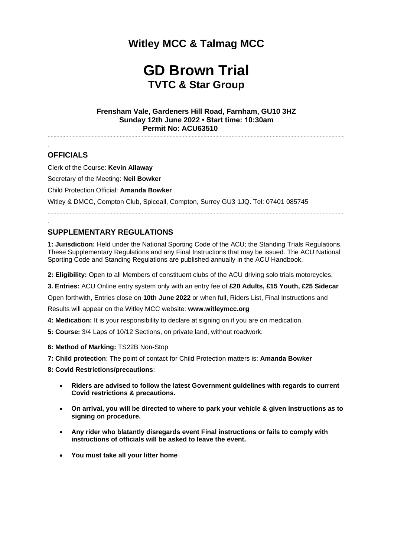## **Witley MCC & Talmag MCC**

# **GD Brown Trial TVTC & Star Group**

**Frensham Vale, Gardeners Hill Road, Farnham, GU10 3HZ Sunday 12th June 2022 • Start time: 10:30am Permit No: ACU63510**

..........................................................................................................................................................................................................

#### **OFFICIALS**

.

.

Clerk of the Course: **Kevin Allaway**

Secretary of the Meeting: **Neil Bowker**

Child Protection Official: **Amanda Bowker**

Witley & DMCC, Compton Club, Spiceall, Compton, Surrey GU3 1JQ. Tel: 07401 085745

#### **SUPPLEMENTARY REGULATIONS**

**1: Jurisdiction:** Held under the National Sporting Code of the ACU; the Standing Trials Regulations, These Supplementary Regulations and any Final Instructions that may be issued. The ACU National Sporting Code and Standing Regulations are published annually in the ACU Handbook.

..........................................................................................................................................................................................................

**2: Eligibility:** Open to all Members of constituent clubs of the ACU driving solo trials motorcycles.

**3. Entries:** ACU Online entry system only with an entry fee of **£20 Adults, £15 Youth, £25 Sidecar**

Open forthwith, Entries close on **10th June 2022** or when full, Riders List, Final Instructions and

Results will appear on the Witley MCC website: **www.witleymcc.org**

- **4: Medication:** It is your responsibility to declare at signing on if you are on medication.
- **5: Course:** 3/4 Laps of 10/12 Sections, on private land, without roadwork.
- **6: Method of Marking:** TS22B Non-Stop
- **7: Child protection**: The point of contact for Child Protection matters is: **Amanda Bowker**

**8: Covid Restrictions/precautions**:

- **Riders are advised to follow the latest Government guidelines with regards to current Covid restrictions & precautions.**
- **On arrival, you will be directed to where to park your vehicle & given instructions as to signing on procedure.**
- **Any rider who blatantly disregards event Final instructions or fails to comply with instructions of officials will be asked to leave the event.**
- **You must take all your litter home**